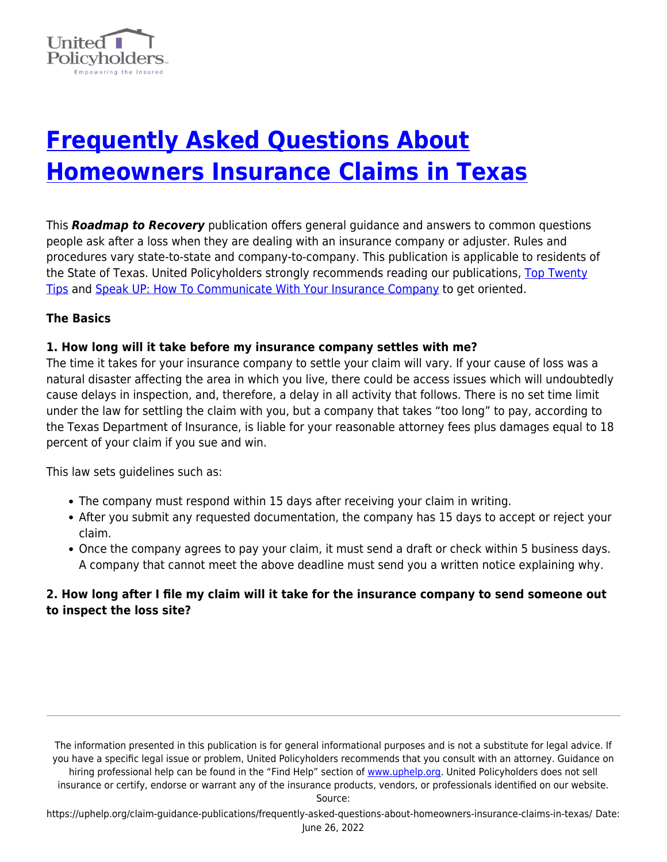

# **[Frequently Asked Questions About](https://uphelp.org/claim-guidance-publications/frequently-asked-questions-about-homeowners-insurance-claims-in-texas/) [Homeowners Insurance Claims in Texas](https://uphelp.org/claim-guidance-publications/frequently-asked-questions-about-homeowners-insurance-claims-in-texas/)**

This *Roadmap to Recovery* publication offers general guidance and answers to common questions people ask after a loss when they are dealing with an insurance company or adjuster. Rules and procedures vary state-to-state and company-to-company. This publication is applicable to residents of the State of Texas. United Policyholders strongly recommends reading our publications, [Top Twenty](https://uphelp.org/claim-guidance-publications/top-20-insurance-recovery-tips/) [Tips](https://uphelp.org/claim-guidance-publications/top-20-insurance-recovery-tips/) and [Speak UP: How To Communicate With Your Insurance Company](https://uphelp.org/claim-guidance-publications/speak-up-how-to-communicate-with-your-insurance-company/) to get oriented.

# **The Basics**

#### **1. How long will it take before my insurance company settles with me?**

The time it takes for your insurance company to settle your claim will vary. If your cause of loss was a natural disaster affecting the area in which you live, there could be access issues which will undoubtedly cause delays in inspection, and, therefore, a delay in all activity that follows. There is no set time limit under the law for settling the claim with you, but a company that takes "too long" to pay, according to the Texas Department of Insurance, is liable for your reasonable attorney fees plus damages equal to 18 percent of your claim if you sue and win.

This law sets guidelines such as:

- The company must respond within 15 days after receiving your claim in writing.
- After you submit any requested documentation, the company has 15 days to accept or reject your claim.
- Once the company agrees to pay your claim, it must send a draft or check within 5 business days. A company that cannot meet the above deadline must send you a written notice explaining why.

# **2. How long after I file my claim will it take for the insurance company to send someone out to inspect the loss site?**

The information presented in this publication is for general informational purposes and is not a substitute for legal advice. If you have a specific legal issue or problem, United Policyholders recommends that you consult with an attorney. Guidance on hiring professional help can be found in the "Find Help" section of [www.uphelp.org.](http://www.uphelp.org/) United Policyholders does not sell insurance or certify, endorse or warrant any of the insurance products, vendors, or professionals identified on our website.

Source: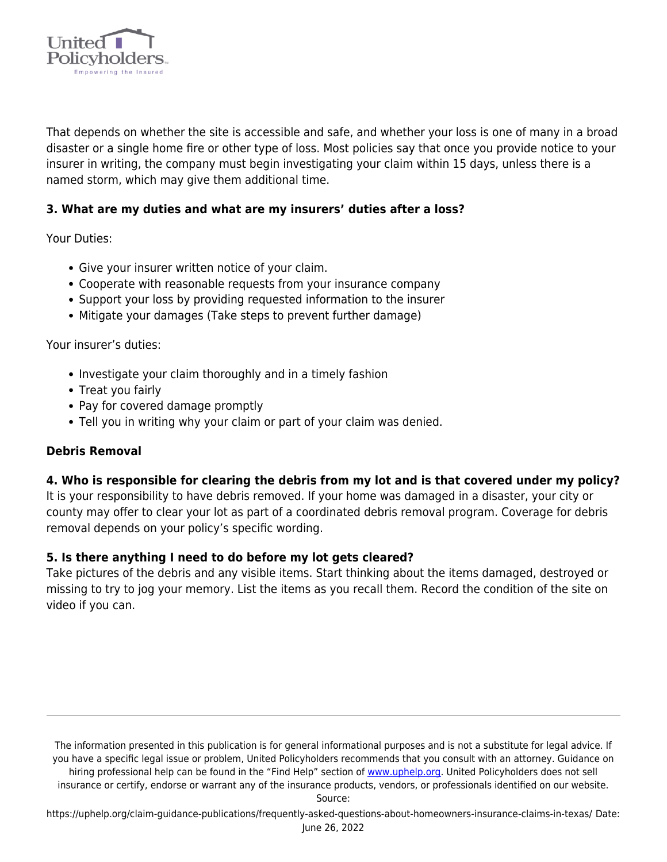

That depends on whether the site is accessible and safe, and whether your loss is one of many in a broad disaster or a single home fire or other type of loss. Most policies say that once you provide notice to your insurer in writing, the company must begin investigating your claim within 15 days, unless there is a named storm, which may give them additional time.

# **3. What are my duties and what are my insurers' duties after a loss?**

Your Duties:

- Give your insurer written notice of your claim.
- Cooperate with reasonable requests from your insurance company
- Support your loss by providing requested information to the insurer
- Mitigate your damages (Take steps to prevent further damage)

Your insurer's duties:

- Investigate your claim thoroughly and in a timely fashion
- Treat you fairly
- Pay for covered damage promptly
- Tell you in writing why your claim or part of your claim was denied.

#### **Debris Removal**

#### **4. Who is responsible for clearing the debris from my lot and is that covered under my policy?**

It is your responsibility to have debris removed. If your home was damaged in a disaster, your city or county may offer to clear your lot as part of a coordinated debris removal program. Coverage for debris removal depends on your policy's specific wording.

#### **5. Is there anything I need to do before my lot gets cleared?**

Take pictures of the debris and any visible items. Start thinking about the items damaged, destroyed or missing to try to jog your memory. List the items as you recall them. Record the condition of the site on video if you can.

The information presented in this publication is for general informational purposes and is not a substitute for legal advice. If you have a specific legal issue or problem, United Policyholders recommends that you consult with an attorney. Guidance on hiring professional help can be found in the "Find Help" section of [www.uphelp.org.](http://www.uphelp.org/) United Policyholders does not sell insurance or certify, endorse or warrant any of the insurance products, vendors, or professionals identified on our website.

Source: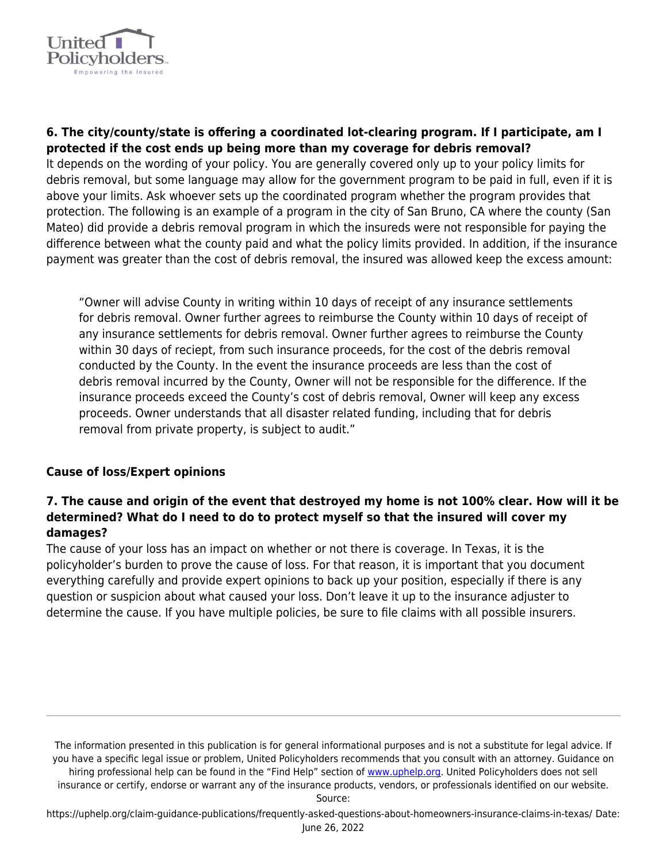

# **6. The city/county/state is offering a coordinated lot-clearing program. If I participate, am I protected if the cost ends up being more than my coverage for debris removal?**

It depends on the wording of your policy. You are generally covered only up to your policy limits for debris removal, but some language may allow for the government program to be paid in full, even if it is above your limits. Ask whoever sets up the coordinated program whether the program provides that protection. The following is an example of a program in the city of San Bruno, CA where the county (San Mateo) did provide a debris removal program in which the insureds were not responsible for paying the difference between what the county paid and what the policy limits provided. In addition, if the insurance payment was greater than the cost of debris removal, the insured was allowed keep the excess amount:

"Owner will advise County in writing within 10 days of receipt of any insurance settlements for debris removal. Owner further agrees to reimburse the County within 10 days of receipt of any insurance settlements for debris removal. Owner further agrees to reimburse the County within 30 days of reciept, from such insurance proceeds, for the cost of the debris removal conducted by the County. In the event the insurance proceeds are less than the cost of debris removal incurred by the County, Owner will not be responsible for the difference. If the insurance proceeds exceed the County's cost of debris removal, Owner will keep any excess proceeds. Owner understands that all disaster related funding, including that for debris removal from private property, is subject to audit."

#### **Cause of loss/Expert opinions**

# **7. The cause and origin of the event that destroyed my home is not 100% clear. How will it be determined? What do I need to do to protect myself so that the insured will cover my damages?**

The cause of your loss has an impact on whether or not there is coverage. In Texas, it is the policyholder's burden to prove the cause of loss. For that reason, it is important that you document everything carefully and provide expert opinions to back up your position, especially if there is any question or suspicion about what caused your loss. Don't leave it up to the insurance adjuster to determine the cause. If you have multiple policies, be sure to file claims with all possible insurers.

The information presented in this publication is for general informational purposes and is not a substitute for legal advice. If you have a specific legal issue or problem, United Policyholders recommends that you consult with an attorney. Guidance on hiring professional help can be found in the "Find Help" section of [www.uphelp.org.](http://www.uphelp.org/) United Policyholders does not sell insurance or certify, endorse or warrant any of the insurance products, vendors, or professionals identified on our website.

Source: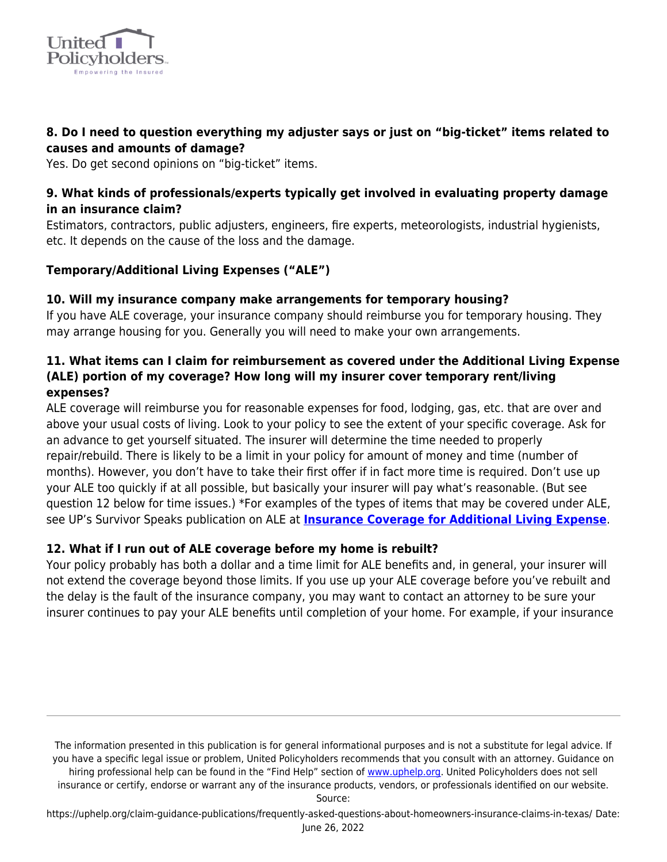

# **8. Do I need to question everything my adjuster says or just on "big-ticket" items related to causes and amounts of damage?**

Yes. Do get second opinions on "big-ticket" items.

# **9. What kinds of professionals/experts typically get involved in evaluating property damage in an insurance claim?**

Estimators, contractors, public adjusters, engineers, fire experts, meteorologists, industrial hygienists, etc. It depends on the cause of the loss and the damage.

# **Temporary/Additional Living Expenses ("ALE")**

# **10. Will my insurance company make arrangements for temporary housing?**

If you have ALE coverage, your insurance company should reimburse you for temporary housing. They may arrange housing for you. Generally you will need to make your own arrangements.

# **11. What items can I claim for reimbursement as covered under the Additional Living Expense (ALE) portion of my coverage? How long will my insurer cover temporary rent/living expenses?**

ALE coverage will reimburse you for reasonable expenses for food, lodging, gas, etc. that are over and above your usual costs of living. Look to your policy to see the extent of your specific coverage. Ask for an advance to get yourself situated. The insurer will determine the time needed to properly repair/rebuild. There is likely to be a limit in your policy for amount of money and time (number of months). However, you don't have to take their first offer if in fact more time is required. Don't use up your ALE too quickly if at all possible, but basically your insurer will pay what's reasonable. (But see question 12 below for time issues.) \*For examples of the types of items that may be covered under ALE, see UP's Survivor Speaks publication on ALE at **[Insurance Coverage for Additional Living Expense](https://uphelp.org/claim-guidance-publications/survivors-speak-additional-living-expense-ale-loss-of-use/)**.

#### **12. What if I run out of ALE coverage before my home is rebuilt?**

Your policy probably has both a dollar and a time limit for ALE benefits and, in general, your insurer will not extend the coverage beyond those limits. If you use up your ALE coverage before you've rebuilt and the delay is the fault of the insurance company, you may want to contact an attorney to be sure your insurer continues to pay your ALE benefits until completion of your home. For example, if your insurance

The information presented in this publication is for general informational purposes and is not a substitute for legal advice. If you have a specific legal issue or problem, United Policyholders recommends that you consult with an attorney. Guidance on hiring professional help can be found in the "Find Help" section of [www.uphelp.org.](http://www.uphelp.org/) United Policyholders does not sell insurance or certify, endorse or warrant any of the insurance products, vendors, or professionals identified on our website.

Source: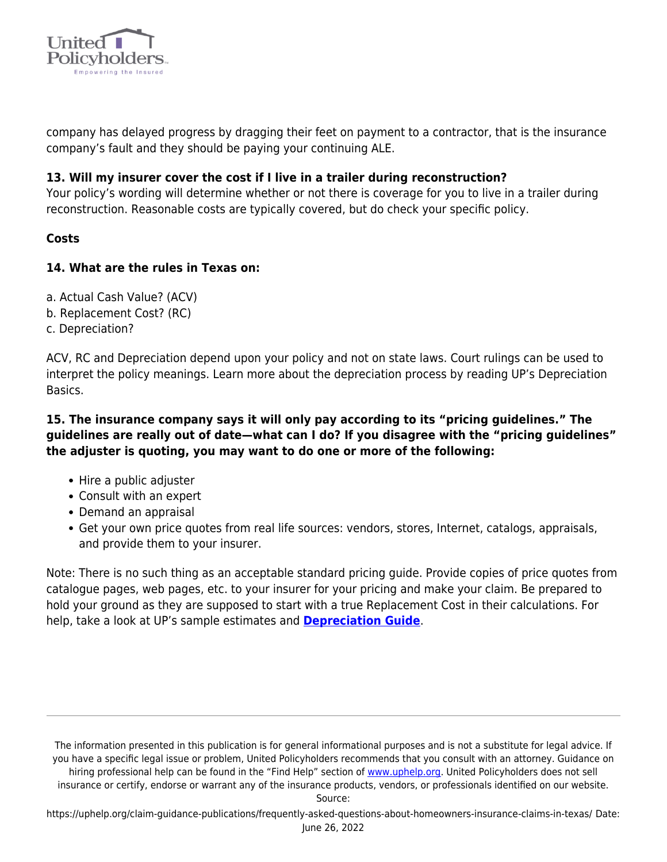

company has delayed progress by dragging their feet on payment to a contractor, that is the insurance company's fault and they should be paying your continuing ALE.

### **13. Will my insurer cover the cost if I live in a trailer during reconstruction?**

Your policy's wording will determine whether or not there is coverage for you to live in a trailer during reconstruction. Reasonable costs are typically covered, but do check your specific policy.

#### **Costs**

#### **14. What are the rules in Texas on:**

- a. Actual Cash Value? (ACV)
- b. Replacement Cost? (RC)
- c. Depreciation?

ACV, RC and Depreciation depend upon your policy and not on state laws. Court rulings can be used to interpret the policy meanings. Learn more about the depreciation process by reading UP's Depreciation Basics.

# **15. The insurance company says it will only pay according to its "pricing guidelines." The guidelines are really out of date—what can I do? If you disagree with the "pricing guidelines" the adjuster is quoting, you may want to do one or more of the following:**

- Hire a public adjuster
- Consult with an expert
- Demand an appraisal
- Get your own price quotes from real life sources: vendors, stores, Internet, catalogs, appraisals, and provide them to your insurer.

Note: There is no such thing as an acceptable standard pricing guide. Provide copies of price quotes from catalogue pages, web pages, etc. to your insurer for your pricing and make your claim. Be prepared to hold your ground as they are supposed to start with a true Replacement Cost in their calculations. For help, take a look at UP's sample estimates and **[Depreciation Guide](https://uphelp.org/wp-content/uploads/2020/10/DepreciationTipSheet.pdf)**.

The information presented in this publication is for general informational purposes and is not a substitute for legal advice. If you have a specific legal issue or problem, United Policyholders recommends that you consult with an attorney. Guidance on hiring professional help can be found in the "Find Help" section of [www.uphelp.org.](http://www.uphelp.org/) United Policyholders does not sell insurance or certify, endorse or warrant any of the insurance products, vendors, or professionals identified on our website.

Source: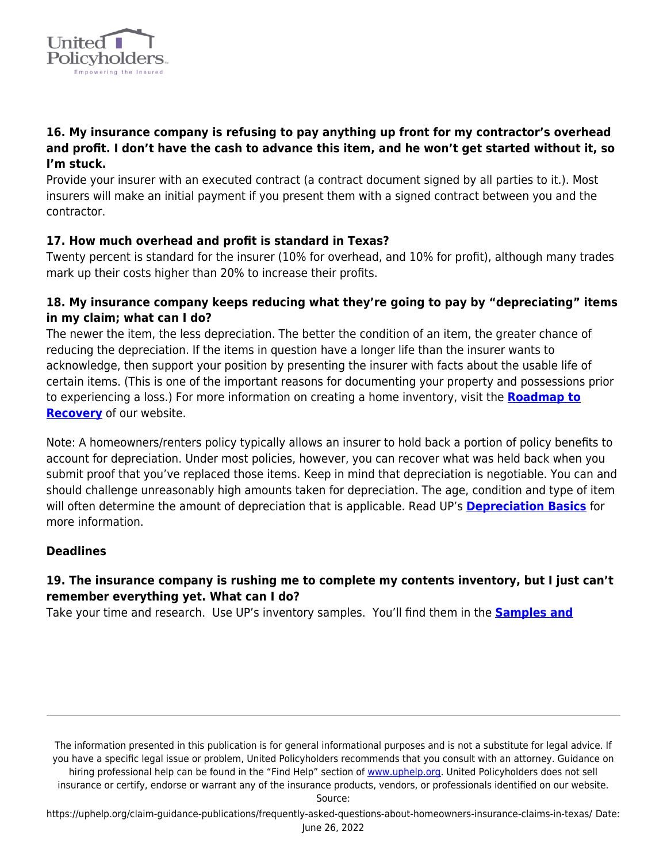

# **16. My insurance company is refusing to pay anything up front for my contractor's overhead and profit. I don't have the cash to advance this item, and he won't get started without it, so I'm stuck.**

Provide your insurer with an executed contract (a contract document signed by all parties to it.). Most insurers will make an initial payment if you present them with a signed contract between you and the contractor.

# **17. How much overhead and profit is standard in Texas?**

Twenty percent is standard for the insurer (10% for overhead, and 10% for profit), although many trades mark up their costs higher than 20% to increase their profits.

# **18. My insurance company keeps reducing what they're going to pay by "depreciating" items in my claim; what can I do?**

The newer the item, the less depreciation. The better the condition of an item, the greater chance of reducing the depreciation. If the items in question have a longer life than the insurer wants to acknowledge, then support your position by presenting the insurer with facts about the usable life of certain items. (This is one of the important reasons for documenting your property and possessions prior to experiencing a loss.) For more information on creating a home inventory, visit the **[Roadmap to](https://uphelp.org/recovery/) [Recovery](https://uphelp.org/recovery/)** of our website.

Note: A homeowners/renters policy typically allows an insurer to hold back a portion of policy benefits to account for depreciation. Under most policies, however, you can recover what was held back when you submit proof that you've replaced those items. Keep in mind that depreciation is negotiable. You can and should challenge unreasonably high amounts taken for depreciation. The age, condition and type of item will often determine the amount of depreciation that is applicable. Read UP's **[Depreciation Basics](https://uphelp.org/claim-guidance-publications/depreciation-basics/)** for more information.

#### **Deadlines**

# **19. The insurance company is rushing me to complete my contents inventory, but I just can't remember everything yet. What can I do?**

Take your time and research. Use UP's inventory samples. You'll find them in the **[Samples and](https://uphelp.org/claim-guidance-publications/sample-letters-and-documents/)**

The information presented in this publication is for general informational purposes and is not a substitute for legal advice. If you have a specific legal issue or problem, United Policyholders recommends that you consult with an attorney. Guidance on hiring professional help can be found in the "Find Help" section of [www.uphelp.org.](http://www.uphelp.org/) United Policyholders does not sell insurance or certify, endorse or warrant any of the insurance products, vendors, or professionals identified on our website.

Source: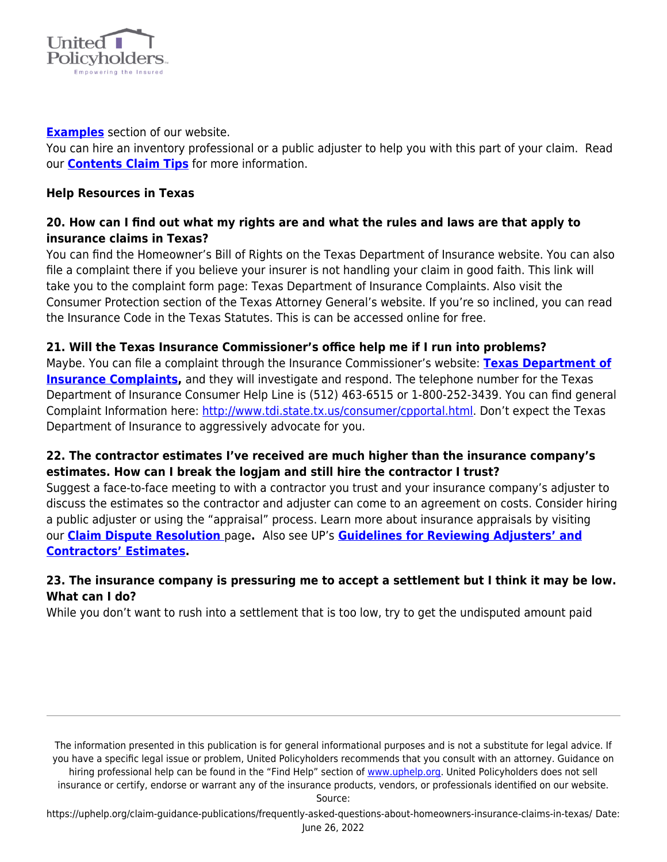

#### **[Examples](https://uphelp.org/claim-guidance-publications/sample-letters-and-documents/)** section of our website.

You can hire an inventory professional or a public adjuster to help you with this part of your claim. Read our **[Contents Claim Tips](https://uphelp.org/claim-guidance-publications/home-inventory-and-contents-claim-tips/)** for more information.

### **Help Resources in Texas**

# **20. How can I find out what my rights are and what the rules and laws are that apply to insurance claims in Texas?**

You can find the Homeowner's Bill of Rights on the Texas Department of Insurance website. You can also file a complaint there if you believe your insurer is not handling your claim in good faith. This link will take you to the complaint form page: Texas Department of Insurance Complaints. Also visit the Consumer Protection section of the Texas Attorney General's website. If you're so inclined, you can read the Insurance Code in the Texas Statutes. This is can be accessed online for free.

# **21. Will the Texas Insurance Commissioner's office help me if I run into problems?**

Maybe. You can file a complaint through the Insurance Commissioner's website: **[Texas Department of](http://www.tdi.state.tx.us/consumer/complfrm.html) [Insurance Complaints](http://www.tdi.state.tx.us/consumer/complfrm.html),** and they will investigate and respond. The telephone number for the Texas Department of Insurance Consumer Help Line is (512) 463-6515 or 1-800-252-3439. You can find general Complaint Information here: <http://www.tdi.state.tx.us/consumer/cpportal.html>. Don't expect the Texas Department of Insurance to aggressively advocate for you.

# **22. The contractor estimates I've received are much higher than the insurance company's estimates. How can I break the logjam and still hire the contractor I trust?**

Suggest a face-to-face meeting to with a contractor you trust and your insurance company's adjuster to discuss the estimates so the contractor and adjuster can come to an agreement on costs. Consider hiring a public adjuster or using the "appraisal" process. Learn more about insurance appraisals by visiting our **[Claim Dispute Resolution](https://uphelp.org/claim-guidance-publications/resolving-claim-disputes/)** page**.** Also see UP's **[Guidelines for Reviewing Adjusters' and](https://uphelp.org/claim-guidance-publications/guidelines-for-reviewing-adjusters-and-contractors-estimates/) [Contractors' Estimates](https://uphelp.org/claim-guidance-publications/guidelines-for-reviewing-adjusters-and-contractors-estimates/).**

# **23. The insurance company is pressuring me to accept a settlement but I think it may be low. What can I do?**

While you don't want to rush into a settlement that is too low, try to get the undisputed amount paid

The information presented in this publication is for general informational purposes and is not a substitute for legal advice. If you have a specific legal issue or problem, United Policyholders recommends that you consult with an attorney. Guidance on hiring professional help can be found in the "Find Help" section of [www.uphelp.org.](http://www.uphelp.org/) United Policyholders does not sell insurance or certify, endorse or warrant any of the insurance products, vendors, or professionals identified on our website.

Source: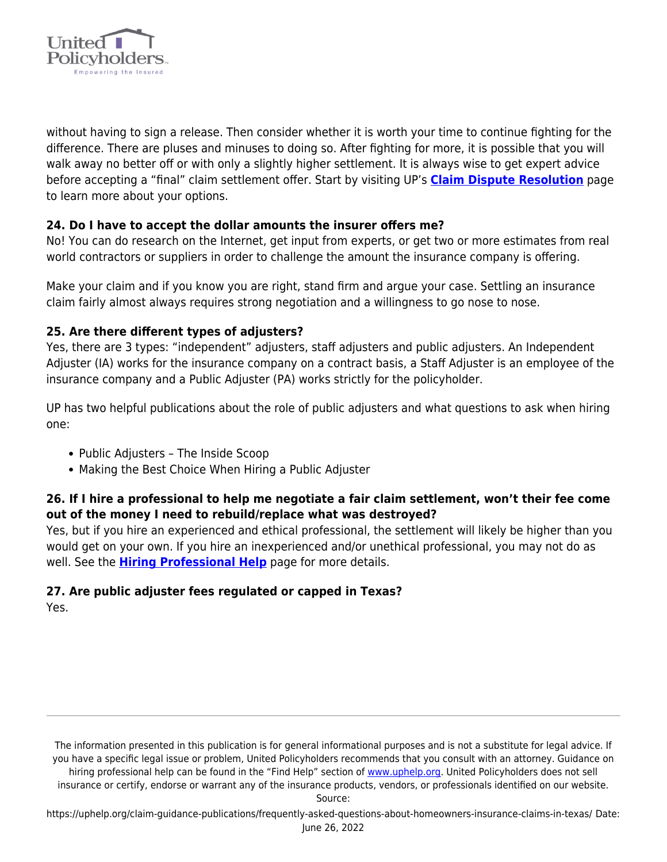

without having to sign a release. Then consider whether it is worth your time to continue fighting for the difference. There are pluses and minuses to doing so. After fighting for more, it is possible that you will walk away no better off or with only a slightly higher settlement. It is always wise to get expert advice before accepting a "final" claim settlement offer. Start by visiting UP's **[Claim Dispute Resolution](https://uphelp.org/claim-guidance-publications/resolving-claim-disputes/)** page to learn more about your options.

# **24. Do I have to accept the dollar amounts the insurer offers me?**

No! You can do research on the Internet, get input from experts, or get two or more estimates from real world contractors or suppliers in order to challenge the amount the insurance company is offering.

Make your claim and if you know you are right, stand firm and argue your case. Settling an insurance claim fairly almost always requires strong negotiation and a willingness to go nose to nose.

#### **25. Are there different types of adjusters?**

Yes, there are 3 types: "independent" adjusters, staff adjusters and public adjusters. An Independent Adjuster (IA) works for the insurance company on a contract basis, a Staff Adjuster is an employee of the insurance company and a Public Adjuster (PA) works strictly for the policyholder.

UP has two helpful publications about the role of public adjusters and what questions to ask when hiring one:

- Public Adjusters The Inside Scoop
- Making the Best Choice When Hiring a Public Adjuster

# **26. If I hire a professional to help me negotiate a fair claim settlement, won't their fee come out of the money I need to rebuild/replace what was destroyed?**

Yes, but if you hire an experienced and ethical professional, the settlement will likely be higher than you would get on your own. If you hire an inexperienced and/or unethical professional, you may not do as well. See the **[Hiring Professional Help](https://uphelp.org/recovery/professional-help-directory/)** page for more details.

# **27. Are public adjuster fees regulated or capped in Texas?**

Yes.

The information presented in this publication is for general informational purposes and is not a substitute for legal advice. If you have a specific legal issue or problem, United Policyholders recommends that you consult with an attorney. Guidance on hiring professional help can be found in the "Find Help" section of [www.uphelp.org.](http://www.uphelp.org/) United Policyholders does not sell insurance or certify, endorse or warrant any of the insurance products, vendors, or professionals identified on our website.

Source: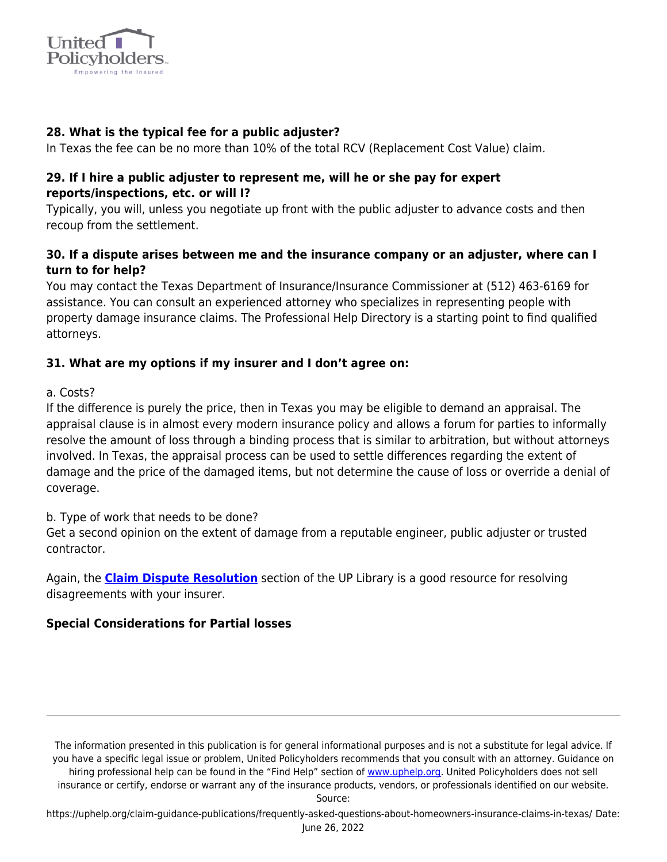

# **28. What is the typical fee for a public adjuster?**

In Texas the fee can be no more than 10% of the total RCV (Replacement Cost Value) claim.

### **29. If I hire a public adjuster to represent me, will he or she pay for expert reports/inspections, etc. or will I?**

Typically, you will, unless you negotiate up front with the public adjuster to advance costs and then recoup from the settlement.

# **30. If a dispute arises between me and the insurance company or an adjuster, where can I turn to for help?**

You may contact the Texas Department of Insurance/Insurance Commissioner at (512) 463-6169 for assistance. You can consult an experienced attorney who specializes in representing people with property damage insurance claims. The Professional Help Directory is a starting point to find qualified attorneys.

# **31. What are my options if my insurer and I don't agree on:**

a. Costs?

If the difference is purely the price, then in Texas you may be eligible to demand an appraisal. The appraisal clause is in almost every modern insurance policy and allows a forum for parties to informally resolve the amount of loss through a binding process that is similar to arbitration, but without attorneys involved. In Texas, the appraisal process can be used to settle differences regarding the extent of damage and the price of the damaged items, but not determine the cause of loss or override a denial of coverage.

b. Type of work that needs to be done?

Get a second opinion on the extent of damage from a reputable engineer, public adjuster or trusted contractor.

Again, the **[Claim Dispute Resolution](https://uphelp.org/claim-guidance-publications/claim-coverage-dispute-resolution-help/)** section of the UP Library is a good resource for resolving disagreements with your insurer.

# **Special Considerations for Partial losses**

The information presented in this publication is for general informational purposes and is not a substitute for legal advice. If you have a specific legal issue or problem, United Policyholders recommends that you consult with an attorney. Guidance on hiring professional help can be found in the "Find Help" section of [www.uphelp.org.](http://www.uphelp.org/) United Policyholders does not sell insurance or certify, endorse or warrant any of the insurance products, vendors, or professionals identified on our website.

Source: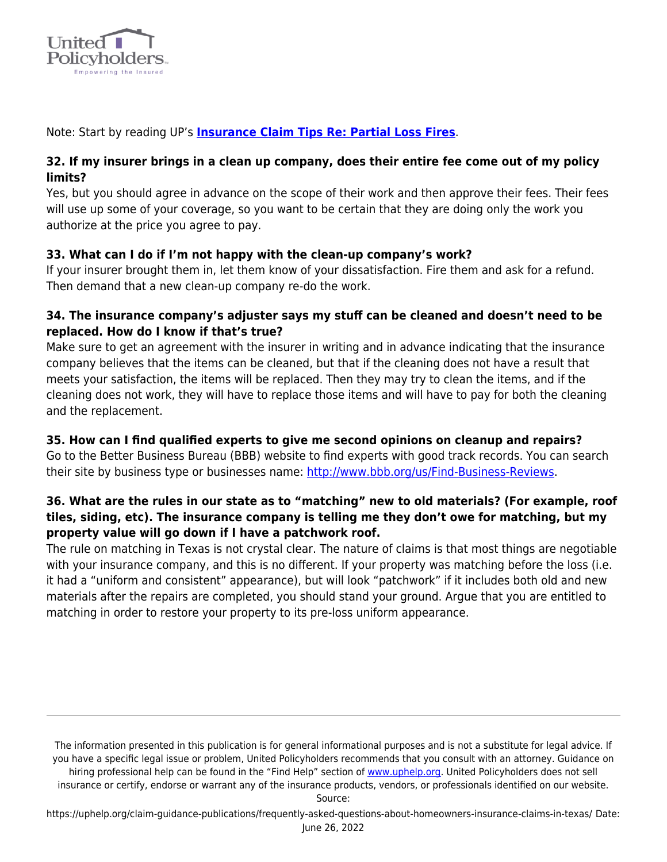

Note: Start by reading UP's **[Insurance Claim Tips Re: Partial Loss Fires](https://uphelp.org/claim-guidance-publications/insurance-claim-tips-for-partial-loss-fires/)**.

# **32. If my insurer brings in a clean up company, does their entire fee come out of my policy limits?**

Yes, but you should agree in advance on the scope of their work and then approve their fees. Their fees will use up some of your coverage, so you want to be certain that they are doing only the work you authorize at the price you agree to pay.

# **33. What can I do if I'm not happy with the clean-up company's work?**

If your insurer brought them in, let them know of your dissatisfaction. Fire them and ask for a refund. Then demand that a new clean-up company re-do the work.

# **34. The insurance company's adjuster says my stuff can be cleaned and doesn't need to be replaced. How do I know if that's true?**

Make sure to get an agreement with the insurer in writing and in advance indicating that the insurance company believes that the items can be cleaned, but that if the cleaning does not have a result that meets your satisfaction, the items will be replaced. Then they may try to clean the items, and if the cleaning does not work, they will have to replace those items and will have to pay for both the cleaning and the replacement.

# **35. How can I find qualified experts to give me second opinions on cleanup and repairs?**

Go to the Better Business Bureau (BBB) website to find experts with good track records. You can search their site by business type or businesses name: [http://www.bbb.org/us/Find-Business-Reviews.](http://www.bbb.org/us/Find-Business-Reviews)

# **36. What are the rules in our state as to "matching" new to old materials? (For example, roof tiles, siding, etc). The insurance company is telling me they don't owe for matching, but my property value will go down if I have a patchwork roof.**

The rule on matching in Texas is not crystal clear. The nature of claims is that most things are negotiable with your insurance company, and this is no different. If your property was matching before the loss (i.e. it had a "uniform and consistent" appearance), but will look "patchwork" if it includes both old and new materials after the repairs are completed, you should stand your ground. Argue that you are entitled to matching in order to restore your property to its pre-loss uniform appearance.

The information presented in this publication is for general informational purposes and is not a substitute for legal advice. If you have a specific legal issue or problem, United Policyholders recommends that you consult with an attorney. Guidance on hiring professional help can be found in the "Find Help" section of [www.uphelp.org.](http://www.uphelp.org/) United Policyholders does not sell insurance or certify, endorse or warrant any of the insurance products, vendors, or professionals identified on our website.

Source: